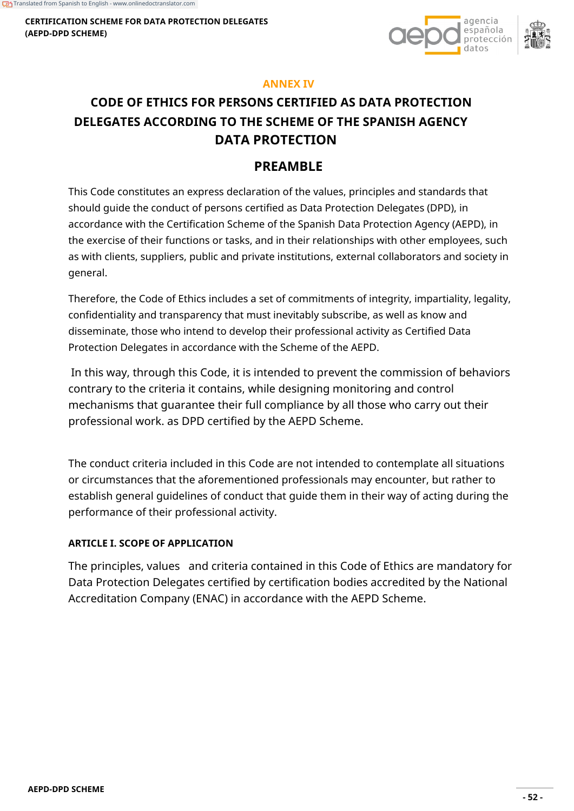**CERTIFICATION SCHEME FOR DATA PROTECTION DELEGATES (AEPD-DPD SCHEME)**



### **ANNEX IV**

# **CODE OF ETHICS FOR PERSONS CERTIFIED AS DATA PROTECTION DELEGATES ACCORDING TO THE SCHEME OF THE SPANISH AGENCY DATA PROTECTION**

# **PREAMBLE**

This Code constitutes an express declaration of the values, principles and standards that should guide the conduct of persons certified as Data Protection Delegates (DPD), in accordance with the Certification Scheme of the Spanish Data Protection Agency (AEPD), in the exercise of their functions or tasks, and in their relationships with other employees, such as with clients, suppliers, public and private institutions, external collaborators and society in general.

Therefore, the Code of Ethics includes a set of commitments of integrity, impartiality, legality, confidentiality and transparency that must inevitably subscribe, as well as know and disseminate, those who intend to develop their professional activity as Certified Data Protection Delegates in accordance with the Scheme of the AEPD.

In this way, through this Code, it is intended to prevent the commission of behaviors contrary to the criteria it contains, while designing monitoring and control mechanisms that guarantee their full compliance by all those who carry out their professional work. as DPD certified by the AEPD Scheme.

The conduct criteria included in this Code are not intended to contemplate all situations or circumstances that the aforementioned professionals may encounter, but rather to establish general guidelines of conduct that guide them in their way of acting during the performance of their professional activity.

### **ARTICLE I. SCOPE OF APPLICATION**

The principles, values and criteria contained in this Code of Ethics are mandatory for Data Protection Delegates certified by certification bodies accredited by the National Accreditation Company (ENAC) in accordance with the AEPD Scheme.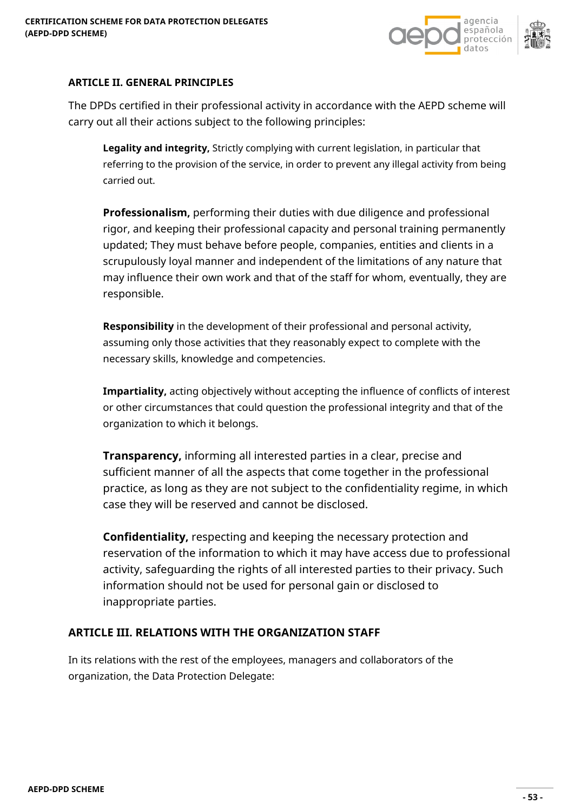

# **ARTICLE II. GENERAL PRINCIPLES**

The DPDs certified in their professional activity in accordance with the AEPD scheme will carry out all their actions subject to the following principles:

**Legality and integrity,** Strictly complying with current legislation, in particular that referring to the provision of the service, in order to prevent any illegal activity from being carried out.

**Professionalism,** performing their duties with due diligence and professional rigor, and keeping their professional capacity and personal training permanently updated; They must behave before people, companies, entities and clients in a scrupulously loyal manner and independent of the limitations of any nature that may influence their own work and that of the staff for whom, eventually, they are responsible.

**Responsibility** in the development of their professional and personal activity, assuming only those activities that they reasonably expect to complete with the necessary skills, knowledge and competencies.

**Impartiality,** acting objectively without accepting the influence of conflicts of interest or other circumstances that could question the professional integrity and that of the organization to which it belongs.

**Transparency,** informing all interested parties in a clear, precise and sufficient manner of all the aspects that come together in the professional practice, as long as they are not subject to the confidentiality regime, in which case they will be reserved and cannot be disclosed.

**Confidentiality,** respecting and keeping the necessary protection and reservation of the information to which it may have access due to professional activity, safeguarding the rights of all interested parties to their privacy. Such information should not be used for personal gain or disclosed to inappropriate parties.

### **ARTICLE III. RELATIONS WITH THE ORGANIZATION STAFF**

In its relations with the rest of the employees, managers and collaborators of the organization, the Data Protection Delegate: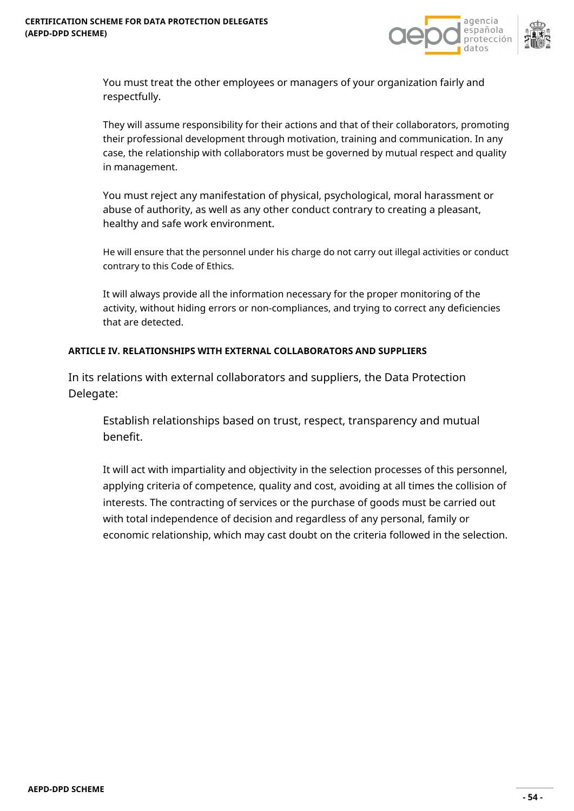



You must treat the other employees or managers of your organization fairly and respectfully.

They will assume responsibility for their actions and that of their collaborators, promoting their professional development through motivation, training and communication. In any case, the relationship with collaborators must be governed by mutual respect and quality in management.

You must reject any manifestation of physical, psychological, moral harassment or abuse of authority, as well as any other conduct contrary to creating a pleasant, healthy and safe work environment.

He will ensure that the personnel under his charge do not carry out illegal activities or conduct contrary to this Code of Ethics.

It will always provide all the information necessary for the proper monitoring of the activity, without hiding errors or non-compliances, and trying to correct any deficiencies that are detected.

### **ARTICLE IV. RELATIONSHIPS WITH EXTERNAL COLLABORATORS AND SUPPLIERS**

In its relations with external collaborators and suppliers, the Data Protection Delegate:

Establish relationships based on trust, respect, transparency and mutual benefit.

It will act with impartiality and objectivity in the selection processes of this personnel, applying criteria of competence, quality and cost, avoiding at all times the collision of interests. The contracting of services or the purchase of goods must be carried out with total independence of decision and regardless of any personal, family or economic relationship, which may cast doubt on the criteria followed in the selection.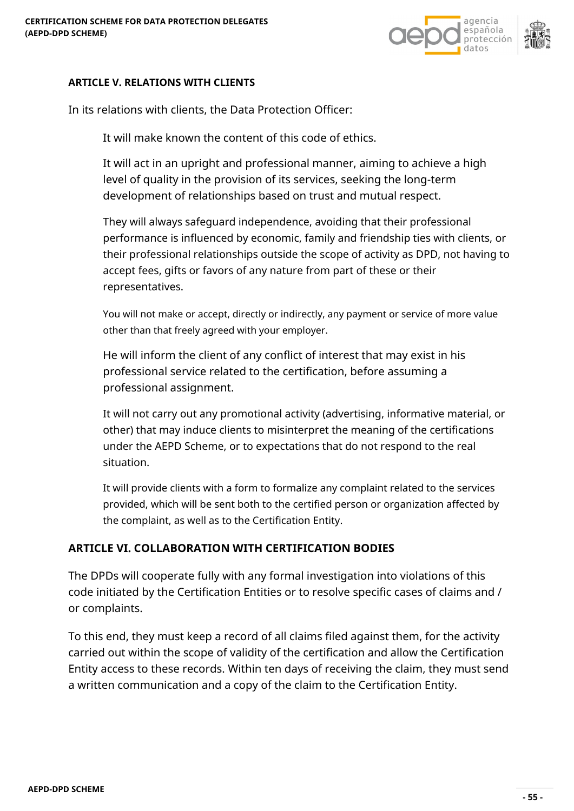

## **ARTICLE V. RELATIONS WITH CLIENTS**

In its relations with clients, the Data Protection Officer:

It will make known the content of this code of ethics.

It will act in an upright and professional manner, aiming to achieve a high level of quality in the provision of its services, seeking the long-term development of relationships based on trust and mutual respect.

They will always safeguard independence, avoiding that their professional performance is influenced by economic, family and friendship ties with clients, or their professional relationships outside the scope of activity as DPD, not having to accept fees, gifts or favors of any nature from part of these or their representatives.

You will not make or accept, directly or indirectly, any payment or service of more value other than that freely agreed with your employer.

He will inform the client of any conflict of interest that may exist in his professional service related to the certification, before assuming a professional assignment.

It will not carry out any promotional activity (advertising, informative material, or other) that may induce clients to misinterpret the meaning of the certifications under the AEPD Scheme, or to expectations that do not respond to the real situation.

It will provide clients with a form to formalize any complaint related to the services provided, which will be sent both to the certified person or organization affected by the complaint, as well as to the Certification Entity.

# **ARTICLE VI. COLLABORATION WITH CERTIFICATION BODIES**

The DPDs will cooperate fully with any formal investigation into violations of this code initiated by the Certification Entities or to resolve specific cases of claims and / or complaints.

To this end, they must keep a record of all claims filed against them, for the activity carried out within the scope of validity of the certification and allow the Certification Entity access to these records. Within ten days of receiving the claim, they must send a written communication and a copy of the claim to the Certification Entity.